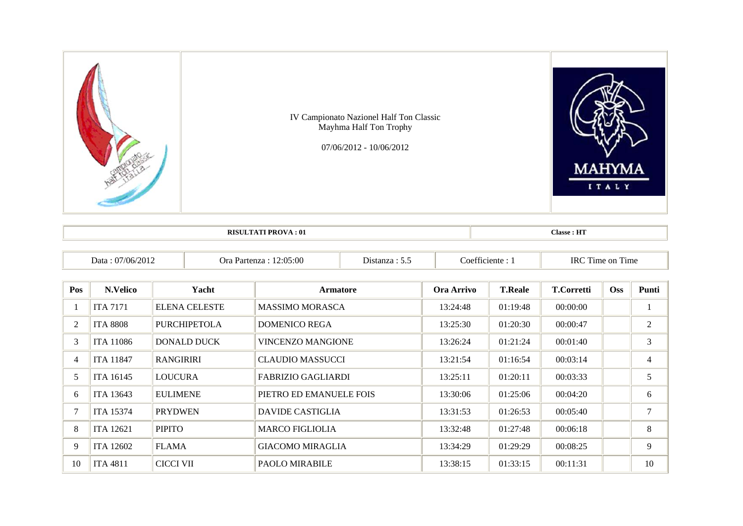

| 2:05:00<br><b>IRC</b><br>l ime<br>ficiente<br>Jata<br>Dr.<br>1M)<br>tanza<br>. In<br>റല<br>on.<br>- 11 6<br>5H Z.A<br>ັ |
|-------------------------------------------------------------------------------------------------------------------------|
|-------------------------------------------------------------------------------------------------------------------------|

| Pos            | N.Velico         | Yacht                | <b>Armatore</b>           | Ora Arrivo | <b>T.Reale</b> | <b>T.Corretti</b> | <b>Oss</b> | Punti          |
|----------------|------------------|----------------------|---------------------------|------------|----------------|-------------------|------------|----------------|
|                | <b>ITA 7171</b>  | <b>ELENA CELESTE</b> | <b>MASSIMO MORASCA</b>    | 13:24:48   | 01:19:48       | 00:00:00          |            |                |
| 2              | <b>ITA 8808</b>  | <b>PURCHIPETOLA</b>  | <b>DOMENICO REGA</b>      | 13:25:30   | 01:20:30       | 00:00:47          |            | $\overline{2}$ |
| 3              | <b>ITA 11086</b> | DONALD DUCK          | VINCENZO MANGIONE         | 13:26:24   | 01:21:24       | 00:01:40          |            | 3              |
| $\overline{4}$ | <b>ITA 11847</b> | <b>RANGIRIRI</b>     | <b>CLAUDIO MASSUCCI</b>   | 13:21:54   | 01:16:54       | 00:03:14          |            | $\overline{4}$ |
| 5              | <b>ITA 16145</b> | <b>LOUCURA</b>       | <b>FABRIZIO GAGLIARDI</b> | 13:25:11   | 01:20:11       | 00:03:33          |            | 5              |
| 6              | <b>ITA 13643</b> | <b>EULIMENE</b>      | PIETRO ED EMANUELE FOIS   | 13:30:06   | 01:25:06       | 00:04:20          |            | 6              |
| 7              | <b>ITA 15374</b> | <b>PRYDWEN</b>       | DAVIDE CASTIGLIA          | 13:31:53   | 01:26:53       | 00:05:40          |            | $\overline{7}$ |
| 8              | <b>ITA 12621</b> | <b>PIPITO</b>        | <b>MARCO FIGLIOLIA</b>    | 13:32:48   | 01:27:48       | 00:06:18          |            | 8              |
| 9              | ITA 12602        | <b>FLAMA</b>         | <b>GIACOMO MIRAGLIA</b>   | 13:34:29   | 01:29:29       | 00:08:25          |            | 9              |
| 10             | <b>ITA 4811</b>  | <b>CICCI VII</b>     | <b>PAOLO MIRABILE</b>     | 13:38:15   | 01:33:15       | 00:11:31          |            | 10             |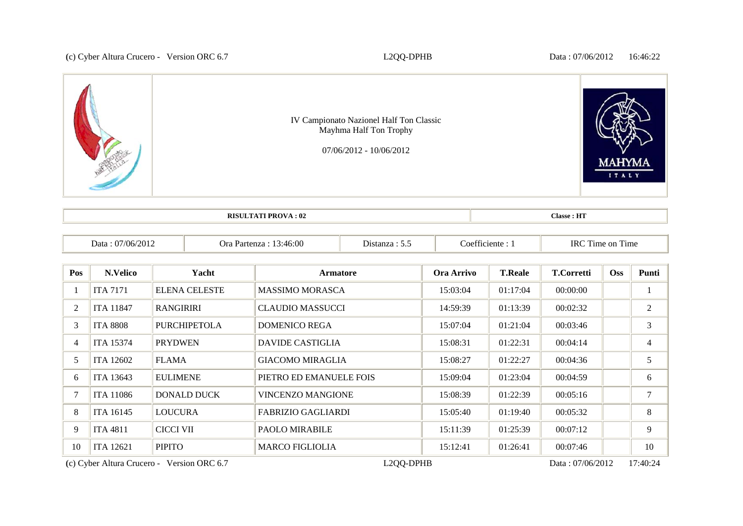(c) Cyber Altura Crucero - Version ORC 6.7

L2QQ Q-DPHB

**Classe : HT**



|  | <b>RISULTATI PROVA: 02</b> |  |  |
|--|----------------------------|--|--|
|  |                            |  |  |

| 6/201<br>11/06/2012<br>Data | -6:00<br>nn70<br>arienza<br>ла | Jistanza<br>. | --<br>ticiente<br>.oet | $-$<br><b>IRC Ti</b><br>1 ime<br>Time<br>on |
|-----------------------------|--------------------------------|---------------|------------------------|---------------------------------------------|
|-----------------------------|--------------------------------|---------------|------------------------|---------------------------------------------|

| Pos                                                     | N.Velico         | Yacht                | <b>Armatore</b>           | Ora Arrivo | <b>T.Reale</b> | <b>T.Corretti</b> | <b>Oss</b> | Punti          |
|---------------------------------------------------------|------------------|----------------------|---------------------------|------------|----------------|-------------------|------------|----------------|
|                                                         | <b>ITA 7171</b>  | <b>ELENA CELESTE</b> | <b>MASSIMO MORASCA</b>    | 15:03:04   | 01:17:04       | 00:00:00          |            | 1              |
| 2                                                       | <b>ITA 11847</b> | <b>RANGIRIRI</b>     | <b>CLAUDIO MASSUCCI</b>   | 14:59:39   | 01:13:39       | 00:02:32          |            | $\overline{2}$ |
| 3                                                       | <b>ITA 8808</b>  | <b>PURCHIPETOLA</b>  | <b>DOMENICO REGA</b>      | 15:07:04   | 01:21:04       | 00:03:46          |            | 3              |
| $\overline{4}$                                          | <b>ITA 15374</b> | <b>PRYDWEN</b>       | <b>DAVIDE CASTIGLIA</b>   | 15:08:31   | 01:22:31       | 00:04:14          |            | $\overline{4}$ |
| 5                                                       | <b>ITA 12602</b> | <b>FLAMA</b>         | <b>GIACOMO MIRAGLIA</b>   | 15:08:27   | 01:22:27       | 00:04:36          |            | 5              |
| 6                                                       | <b>ITA 13643</b> | <b>EULIMENE</b>      | PIETRO ED EMANUELE FOIS   | 15:09:04   | 01:23:04       | 00:04:59          |            | 6              |
| 7                                                       | <b>ITA 11086</b> | <b>DONALD DUCK</b>   | <b>VINCENZO MANGIONE</b>  | 15:08:39   | 01:22:39       | 00:05:16          |            | $\tau$         |
| 8                                                       | <b>ITA 16145</b> | <b>LOUCURA</b>       | <b>FABRIZIO GAGLIARDI</b> | 15:05:40   | 01:19:40       | 00:05:32          |            | 8              |
| 9                                                       | <b>ITA 4811</b>  | CICCI VII            | PAOLO MIRABILE            | 15:11:39   | 01:25:39       | 00:07:12          |            | 9              |
| 10                                                      | <b>ITA 12621</b> | <b>PIPITO</b>        | <b>MARCO FIGLIOLIA</b>    | 15:12:41   | 01:26:41       | 00:07:46          |            | 10             |
| L2QQ-DPHB<br>(c) Cyber Altura Crucero - Version ORC 6.7 |                  |                      | Data: 07/06/2012          |            | 17:40:24       |                   |            |                |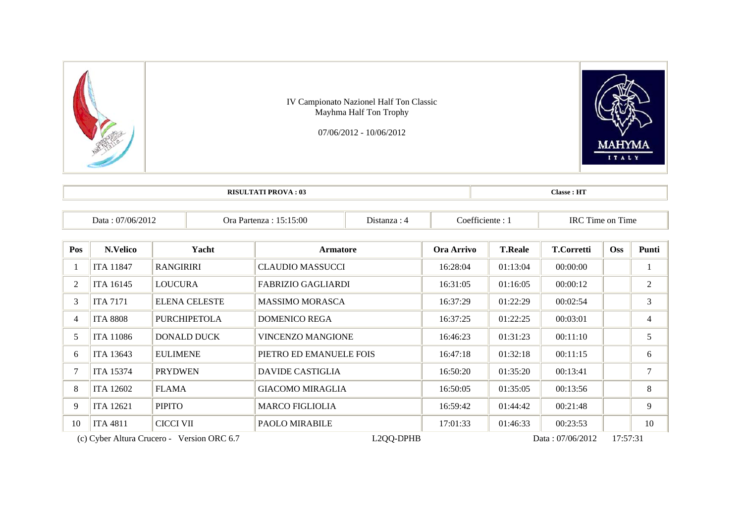

| <b>DISHI</b><br>$   -$<br>"I PROV/<br>: 03<br>. | $\cdot: H^r$<br>$\sim$<br>:lasse |
|-------------------------------------------------|----------------------------------|
|                                                 |                                  |

| rest to the second second second and con-<br>$\sim$ $\sim$<br>$\Omega$<br>/201'<br>$n\epsilon$<br>-IR <sub>C</sub><br>ıcıente<br>Time<br>Jata<br>) : UU<br>$t$ onzo<br>$\ldots$ $\ldots$<br>$\sim$<br><u>.</u><br>. LETTZ<br>stanza<br>ωı<br>. |  |
|------------------------------------------------------------------------------------------------------------------------------------------------------------------------------------------------------------------------------------------------|--|
|------------------------------------------------------------------------------------------------------------------------------------------------------------------------------------------------------------------------------------------------|--|

| Pos            | N.Velico         | Yacht                                      | <b>Armatore</b>           | <b>Ora Arrivo</b> | <b>T.Reale</b> | <b>T.Corretti</b> | <b>Oss</b> | Punti          |
|----------------|------------------|--------------------------------------------|---------------------------|-------------------|----------------|-------------------|------------|----------------|
|                | <b>ITA 11847</b> | <b>RANGIRIRI</b>                           | <b>CLAUDIO MASSUCCI</b>   | 16:28:04          | 01:13:04       | 00:00:00          |            |                |
| 2              | <b>ITA 16145</b> | LOUCURA                                    | <b>FABRIZIO GAGLIARDI</b> | 16:31:05          | 01:16:05       | 00:00:12          |            | 2              |
| 3              | <b>ITA 7171</b>  | <b>ELENA CELESTE</b>                       | <b>MASSIMO MORASCA</b>    | 16:37:29          | 01:22:29       | 00:02:54          |            | 3              |
| $\overline{4}$ | <b>ITA 8808</b>  | <b>PURCHIPETOLA</b>                        | <b>DOMENICO REGA</b>      | 16:37:25          | 01:22:25       | 00:03:01          |            | $\overline{4}$ |
| 5              | <b>ITA 11086</b> | DONALD DUCK                                | VINCENZO MANGIONE         | 16:46:23          | 01:31:23       | 00:11:10          |            | 5              |
| 6              | <b>ITA 13643</b> | <b>EULIMENE</b>                            | PIETRO ED EMANUELE FOIS   | 16:47:18          | 01:32:18       | 00:11:15          |            | 6              |
| $\overline{7}$ | <b>ITA 15374</b> | <b>PRYDWEN</b>                             | <b>DAVIDE CASTIGLIA</b>   | 16:50:20          | 01:35:20       | 00:13:41          |            | $\tau$         |
| 8              | <b>ITA 12602</b> | <b>FLAMA</b>                               | <b>GIACOMO MIRAGLIA</b>   | 16:50:05          | 01:35:05       | 00:13:56          |            | 8              |
| 9              | <b>ITA 12621</b> | <b>PIPITO</b>                              | <b>MARCO FIGLIOLIA</b>    | 16:59:42          | 01:44:42       | 00:21:48          |            | 9              |
| 10             | <b>ITA 4811</b>  | <b>CICCI VII</b>                           | <b>PAOLO MIRABILE</b>     | 17:01:33          | 01:46:33       | 00:23:53          |            | 10             |
|                |                  | (c) Cyber Altura Crucero - Version ORC 6.7 | L <sub>2</sub> QQ-DPHB    |                   |                | Data: 07/06/2012  | 17:57:31   |                |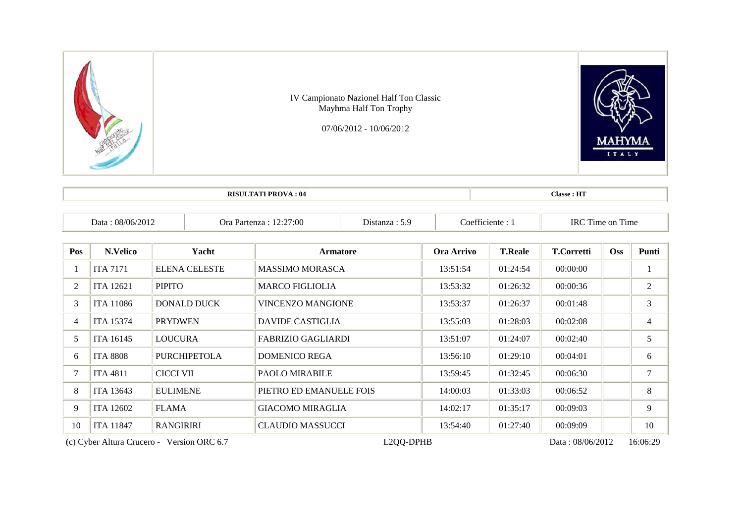

| -04 | $- - -$<br>asse: |
|-----|------------------|
|     |                  |

| :27:00<br>10<1001c<br>-<br>~<br>1R)<br>1 ime<br>. Jra<br>Jata<br>riente<br>-on<br>l 1m<br>ton70<br>്റമീ<br>un/<br>ы да<br>1 I C<br>50 I Z<br>$\sim$<br>- - - |
|--------------------------------------------------------------------------------------------------------------------------------------------------------------|
|--------------------------------------------------------------------------------------------------------------------------------------------------------------|

| Pos                                                     | N.Velico         | Yacht                | <b>Armatore</b>           | Ora Arrivo | <b>T.Reale</b> | <b>T.Corretti</b> | <b>Oss</b> | Punti          |
|---------------------------------------------------------|------------------|----------------------|---------------------------|------------|----------------|-------------------|------------|----------------|
|                                                         | <b>ITA 7171</b>  | <b>ELENA CELESTE</b> | <b>MASSIMO MORASCA</b>    | 13:51:54   | 01:24:54       | 00:00:00          |            | 1              |
| 2                                                       | <b>ITA 12621</b> | <b>PIPITO</b>        | <b>MARCO FIGLIOLIA</b>    | 13:53:32   | 01:26:32       | 00:00:36          |            | 2              |
| 3                                                       | <b>ITA 11086</b> | <b>DONALD DUCK</b>   | <b>VINCENZO MANGIONE</b>  | 13:53:37   | 01:26:37       | 00:01:48          |            | $\mathfrak{Z}$ |
| $\overline{4}$                                          | <b>ITA 15374</b> | <b>PRYDWEN</b>       | <b>DAVIDE CASTIGLIA</b>   | 13:55:03   | 01:28:03       | 00:02:08          |            | $\overline{4}$ |
| 5                                                       | <b>ITA 16145</b> | <b>LOUCURA</b>       | <b>FABRIZIO GAGLIARDI</b> | 13:51:07   | 01:24:07       | 00:02:40          |            | 5              |
| 6                                                       | <b>ITA 8808</b>  | <b>PURCHIPETOLA</b>  | <b>DOMENICO REGA</b>      | 13:56:10   | 01:29:10       | 00:04:01          |            | 6              |
| 7                                                       | <b>ITA 4811</b>  | CICCI VII            | <b>PAOLO MIRABILE</b>     | 13:59:45   | 01:32:45       | 00:06:30          |            | 7              |
| 8                                                       | ITA 13643        | <b>EULIMENE</b>      | PIETRO ED EMANUELE FOIS   | 14:00:03   | 01:33:03       | 00:06:52          |            | 8              |
| 9                                                       | ITA 12602        | <b>FLAMA</b>         | <b>GIACOMO MIRAGLIA</b>   | 14:02:17   | 01:35:17       | 00:09:03          |            | 9              |
| 10                                                      | <b>ITA 11847</b> | <b>RANGIRIRI</b>     | <b>CLAUDIO MASSUCCI</b>   | 13:54:40   | 01:27:40       | 00:09:09          |            | 10             |
| L2QQ-DPHB<br>(c) Cyber Altura Crucero - Version ORC 6.7 |                  |                      | Data: 08/06/2012          |            | 16:06:29       |                   |            |                |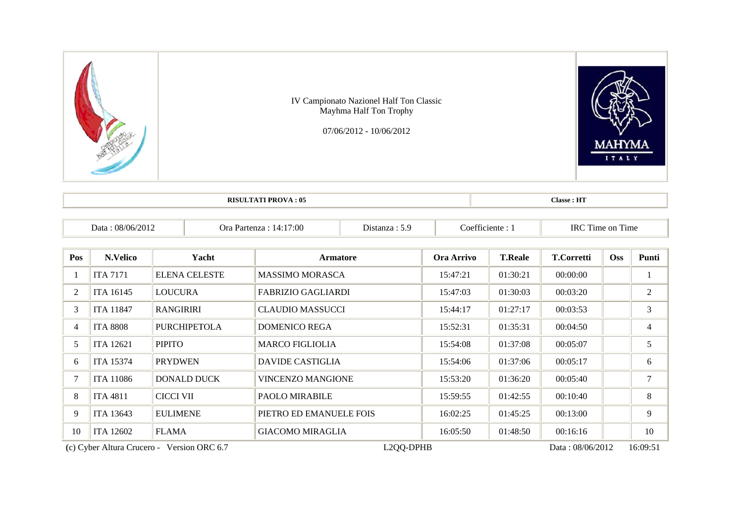

| <b>TTP</b><br>. lacce . |  |  |  |  |  |
|-------------------------|--|--|--|--|--|
|                         |  |  |  |  |  |

| m.<br>7:00<br>-IRC<br>$\sim$<br>' )X/I<br>l 1me<br>Data<br>Or:<br>ente<br>$\overline{\phantom{a}}$<br>$\sim$ $\sim$ $\sim$ |
|----------------------------------------------------------------------------------------------------------------------------|
|----------------------------------------------------------------------------------------------------------------------------|

| Pos                                        | N.Velico         | Yacht                | <b>Armatore</b>           | Ora Arrivo | <b>T.Reale</b> | <b>T.Corretti</b> | <b>Oss</b> | Punti          |
|--------------------------------------------|------------------|----------------------|---------------------------|------------|----------------|-------------------|------------|----------------|
|                                            | <b>ITA 7171</b>  | <b>ELENA CELESTE</b> | <b>MASSIMO MORASCA</b>    | 15:47:21   | 01:30:21       | 00:00:00          |            |                |
| $\overline{2}$                             | ITA 16145        | <b>LOUCURA</b>       | <b>FABRIZIO GAGLIARDI</b> | 15:47:03   | 01:30:03       | 00:03:20          |            | $\overline{2}$ |
| 3                                          | <b>ITA 11847</b> | <b>RANGIRIRI</b>     | <b>CLAUDIO MASSUCCI</b>   | 15:44:17   | 01:27:17       | 00:03:53          |            | 3              |
| $\overline{4}$                             | <b>ITA 8808</b>  | <b>PURCHIPETOLA</b>  | <b>DOMENICO REGA</b>      | 15:52:31   | 01:35:31       | 00:04:50          |            | $\overline{4}$ |
| 5                                          | <b>ITA 12621</b> | <b>PIPITO</b>        | <b>MARCO FIGLIOLIA</b>    | 15:54:08   | 01:37:08       | 00:05:07          |            | 5              |
| 6                                          | <b>ITA 15374</b> | <b>PRYDWEN</b>       | <b>DAVIDE CASTIGLIA</b>   | 15:54:06   | 01:37:06       | 00:05:17          |            | 6              |
| 7                                          | <b>ITA 11086</b> | <b>DONALD DUCK</b>   | <b>VINCENZO MANGIONE</b>  | 15:53:20   | 01:36:20       | 00:05:40          |            | 7              |
| 8                                          | <b>ITA 4811</b>  | <b>CICCI VII</b>     | <b>PAOLO MIRABILE</b>     | 15:59:55   | 01:42:55       | 00:10:40          |            | 8              |
| 9                                          | ITA 13643        | <b>EULIMENE</b>      | PIETRO ED EMANUELE FOIS   | 16:02:25   | 01:45:25       | 00:13:00          |            | 9              |
| 10                                         | <b>ITA 12602</b> | <b>FLAMA</b>         | <b>GIACOMO MIRAGLIA</b>   | 16:05:50   | 01:48:50       | 00:16:16          |            | 10             |
| (c) Cyber Altura Crucero - Version ORC 6.7 |                  |                      | L2QQ-DPHB                 |            |                | Data: 08/06/2012  |            | 16:09:51       |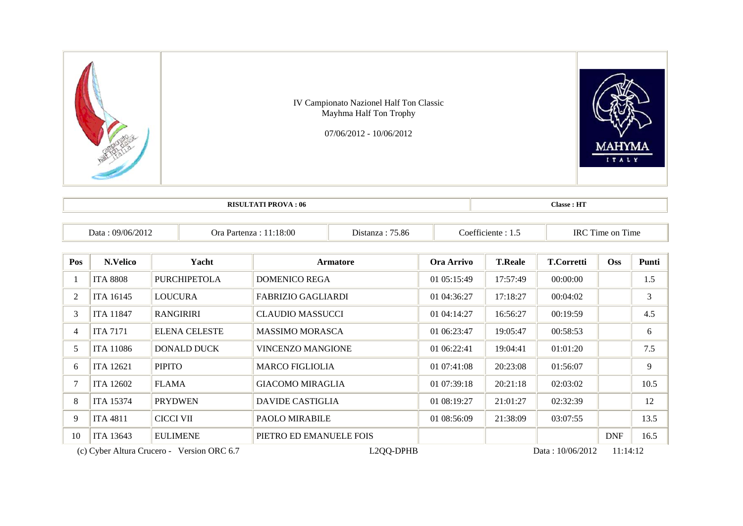

| 5/2012<br>'19/06/<br>Data | 8:00<br>л и. | $\overline{\phantom{a}}$<br>. .<br>0.8c<br>- 2181a - | റപ<br>ente.<br>. | <b>CONT</b><br>$\mathbf{r} \sim \mathbf{r}$<br>1RC<br>Time<br>∙on<br>. $1\mathrm{m}$ $\epsilon$ |
|---------------------------|--------------|------------------------------------------------------|------------------|-------------------------------------------------------------------------------------------------|

| Pos                                        | N.Velico         | Yacht                | <b>Armatore</b>           | Ora Arrivo  | <b>T.Reale</b> | <b>T.Corretti</b>  | <b>Oss</b> | Punti |
|--------------------------------------------|------------------|----------------------|---------------------------|-------------|----------------|--------------------|------------|-------|
|                                            | <b>ITA 8808</b>  | <b>PURCHIPETOLA</b>  | <b>DOMENICO REGA</b>      | 01 05:15:49 | 17:57:49       | 00:00:00           |            | 1.5   |
| $\overline{2}$                             | <b>ITA 16145</b> | LOUCURA              | <b>FABRIZIO GAGLIARDI</b> | 01 04:36:27 | 17:18:27       | 00:04:02           |            | 3     |
| 3                                          | <b>ITA 11847</b> | <b>RANGIRIRI</b>     | <b>CLAUDIO MASSUCCI</b>   | 01 04:14:27 | 16:56:27       | 00:19:59           |            | 4.5   |
| $\overline{4}$                             | <b>ITA 7171</b>  | <b>ELENA CELESTE</b> | <b>MASSIMO MORASCA</b>    | 01 06:23:47 | 19:05:47       | 00:58:53           |            | 6     |
| 5                                          | <b>ITA 11086</b> | DONALD DUCK          | <b>VINCENZO MANGIONE</b>  | 01 06:22:41 | 19:04:41       | 01:01:20           |            | 7.5   |
| 6                                          | <b>ITA 12621</b> | <b>PIPITO</b>        | <b>MARCO FIGLIOLIA</b>    | 01 07:41:08 | 20:23:08       | 01:56:07           |            | 9     |
| 7                                          | <b>ITA 12602</b> | <b>FLAMA</b>         | <b>GIACOMO MIRAGLIA</b>   | 01 07:39:18 | 20:21:18       | 02:03:02           |            | 10.5  |
| 8                                          | <b>ITA 15374</b> | <b>PRYDWEN</b>       | <b>DAVIDE CASTIGLIA</b>   | 01 08:19:27 | 21:01:27       | 02:32:39           |            | 12    |
| 9                                          | <b>ITA 4811</b>  | <b>CICCI VII</b>     | <b>PAOLO MIRABILE</b>     | 01 08:56:09 | 21:38:09       | 03:07:55           |            | 13.5  |
| 10                                         | ITA 13643        | <b>EULIMENE</b>      | PIETRO ED EMANUELE FOIS   |             |                |                    | <b>DNF</b> | 16.5  |
| (c) Cyber Altura Crucero - Version ORC 6.7 |                  |                      | L <sub>2</sub> QQ-DPHB    |             |                | Data: $10/06/2012$ | 11:14:12   |       |